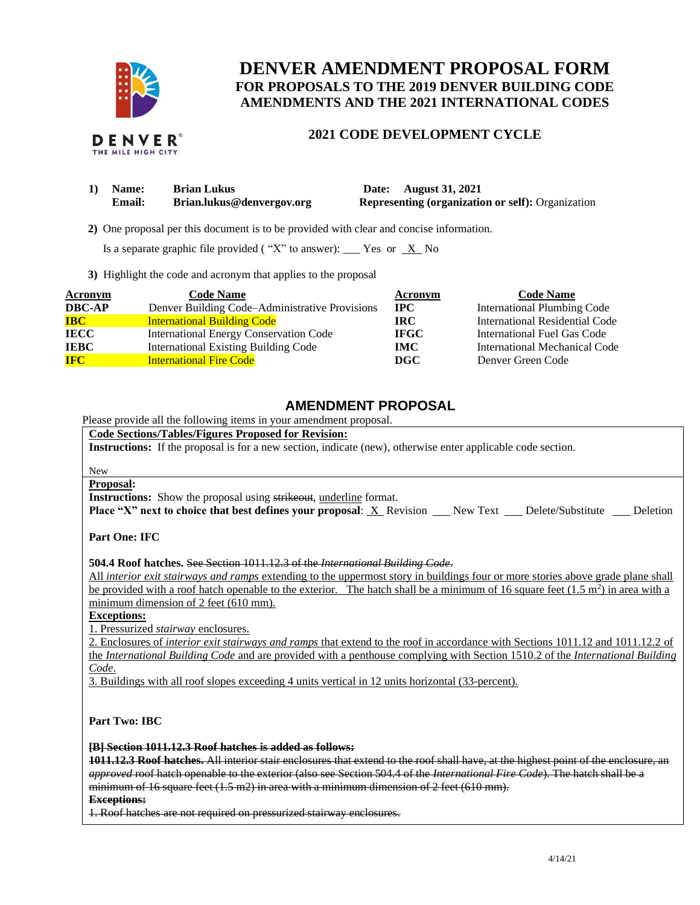

# **DENVER AMENDMENT PROPOSAL FORM FOR PROPOSALS TO THE 2019 DENVER BUILDING CODE AMENDMENTS AND THE 2021 INTERNATIONAL CODES**

## **2021 CODE DEVELOPMENT CYCLE**

| 1) Name:      | <b>Brian Lukus</b>        | Date: August 31, 2021                                    |
|---------------|---------------------------|----------------------------------------------------------|
| <b>Email:</b> | Brian.lukus@denvergov.org | <b>Representing (organization or self): Organization</b> |

 **2)** One proposal per this document is to be provided with clear and concise information.

Is a separate graphic file provided ("X" to answer): \_\_\_ Yes or  $X$  No

**3)** Highlight the code and acronym that applies to the proposal

| <b>Acronym</b> | <b>Code Name</b>                               | Acronym     | <b>Code Name</b>                   |
|----------------|------------------------------------------------|-------------|------------------------------------|
| <b>DBC-AP</b>  | Denver Building Code–Administrative Provisions | $\bf IPC$   | <b>International Plumbing Code</b> |
| <b>IBC</b>     | <b>International Building Code</b>             | IRC-        | International Residential Code     |
| <b>IECC</b>    | <b>International Energy Conservation Code</b>  | <b>IFGC</b> | International Fuel Gas Code        |
| <b>IEBC</b>    | <b>International Existing Building Code</b>    | IMC-        | International Mechanical Code      |
| <b>IFC</b>     | <b>International Fire Code</b>                 | DGC         | Denver Green Code                  |

## **AMENDMENT PROPOSAL**

Please provide all the following items in your amendment proposal.

**Code Sections/Tables/Figures Proposed for Revision:**

**Instructions:** If the proposal is for a new section, indicate (new), otherwise enter applicable code section.

## New

## **Proposal:**

**Instructions:** Show the proposal using strikeout, underline format.

**Place "X" next to choice that best defines your proposal:** X Revision New Text Delete/Substitute Deletion

**Part One: IFC**

**504.4 Roof hatches.** See Section 1011.12.3 of the *International Building Code*.

All *interior exit stairways and ramps* extending to the uppermost story in buildings four or more stories above grade plane shall be provided with a roof hatch openable to the exterior. The hatch shall be a minimum of 16 square feet  $(1.5 \text{ m}^2)$  in area with a minimum dimension of 2 feet (610 mm).

**Exceptions:** 

1. Pressurized *stairway* enclosures.

2. Enclosures of *interior exit stairways and ramps* that extend to the roof in accordance with Sections 1011.12 and 1011.12.2 of the *International Building Code* and are provided with a penthouse complying with Section 1510.2 of the *International Building Code*.

3. Buildings with all roof slopes exceeding 4 units vertical in 12 units horizontal (33-percent).

**Part Two: IBC**

#### **[B] Section 1011.12.3 Roof hatches is added as follows:**

**1011.12.3 Roof hatches.** All interior stair enclosures that extend to the roof shall have, at the highest point of the enclosure, an *approved* roof hatch openable to the exterior (also see Section 504.4 of the *International Fire Code*). The hatch shall be a minimum of 16 square feet  $(1.5 \text{ m2})$  in area with a minimum dimension of 2 feet  $(610 \text{ mm})$ .

**Exceptions:** 

1. Roof hatches are not required on pressurized stairway enclosures.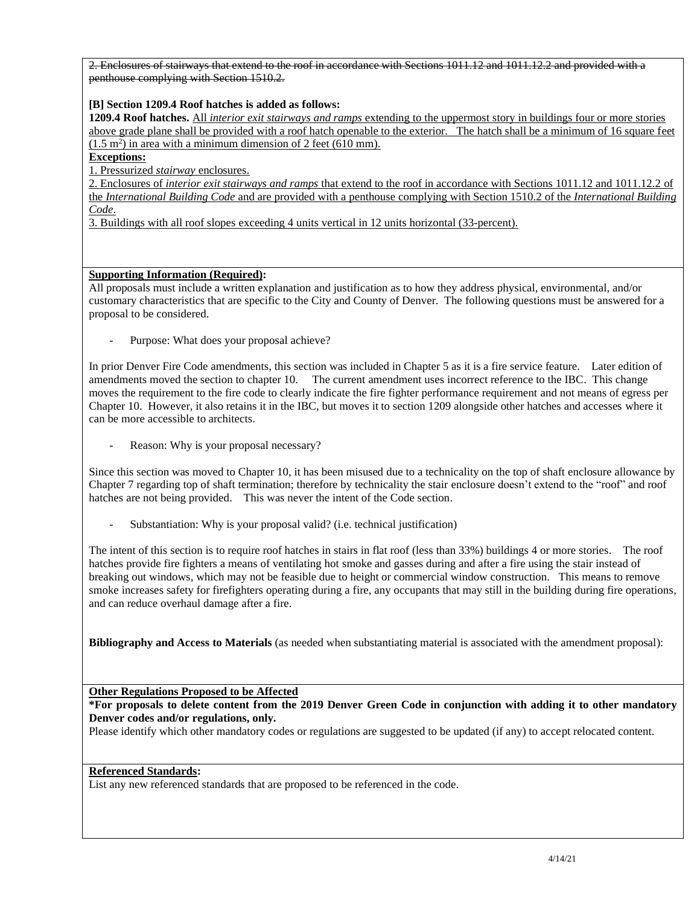2. Enclosures of stairways that extend to the roof in accordance with Sections 1011.12 and 1011.12.2 and provided with a penthouse complying with Section 1510.2.

### **[B] Section 1209.4 Roof hatches is added as follows:**

**1209.4 Roof hatches.** All *interior exit stairways and ramps* extending to the uppermost story in buildings four or more stories above grade plane shall be provided with a roof hatch openable to the exterior. The hatch shall be a minimum of 16 square feet  $(1.5 \text{ m}^2)$  in area with a minimum dimension of 2 feet (610 mm).

## **Exceptions:**

1. Pressurized *stairway* enclosures.

2. Enclosures of *interior exit stairways and ramps* that extend to the roof in accordance with Sections 1011.12 and 1011.12.2 of the *International Building Code* and are provided with a penthouse complying with Section 1510.2 of the *International Building Code*.

3. Buildings with all roof slopes exceeding 4 units vertical in 12 units horizontal (33-percent).

### **Supporting Information (Required):**

All proposals must include a written explanation and justification as to how they address physical, environmental, and/or customary characteristics that are specific to the City and County of Denver. The following questions must be answered for a proposal to be considered.

Purpose: What does your proposal achieve?

In prior Denver Fire Code amendments, this section was included in Chapter 5 as it is a fire service feature. Later edition of amendments moved the section to chapter 10. The current amendment uses incorrect reference to the IBC. This change moves the requirement to the fire code to clearly indicate the fire fighter performance requirement and not means of egress per Chapter 10. However, it also retains it in the IBC, but moves it to section 1209 alongside other hatches and accesses where it can be more accessible to architects.

Reason: Why is your proposal necessary?

Since this section was moved to Chapter 10, it has been misused due to a technicality on the top of shaft enclosure allowance by Chapter 7 regarding top of shaft termination; therefore by technicality the stair enclosure doesn't extend to the "roof" and roof hatches are not being provided. This was never the intent of the Code section.

Substantiation: Why is your proposal valid? (i.e. technical justification)

The intent of this section is to require roof hatches in stairs in flat roof (less than 33%) buildings 4 or more stories. The roof hatches provide fire fighters a means of ventilating hot smoke and gasses during and after a fire using the stair instead of breaking out windows, which may not be feasible due to height or commercial window construction. This means to remove smoke increases safety for firefighters operating during a fire, any occupants that may still in the building during fire operations, and can reduce overhaul damage after a fire.

**Bibliography and Access to Materials** (as needed when substantiating material is associated with the amendment proposal):

**Other Regulations Proposed to be Affected**

**\*For proposals to delete content from the 2019 Denver Green Code in conjunction with adding it to other mandatory Denver codes and/or regulations, only.**

Please identify which other mandatory codes or regulations are suggested to be updated (if any) to accept relocated content.

#### **Referenced Standards:**

List any new referenced standards that are proposed to be referenced in the code.